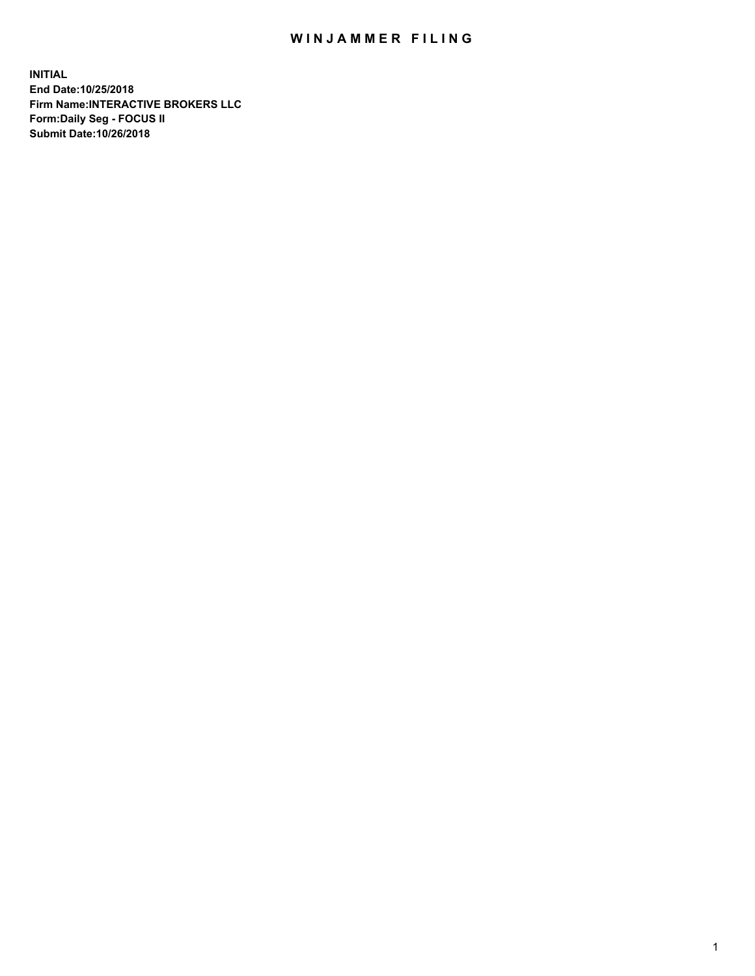## WIN JAMMER FILING

**INITIAL End Date:10/25/2018 Firm Name:INTERACTIVE BROKERS LLC Form:Daily Seg - FOCUS II Submit Date:10/26/2018**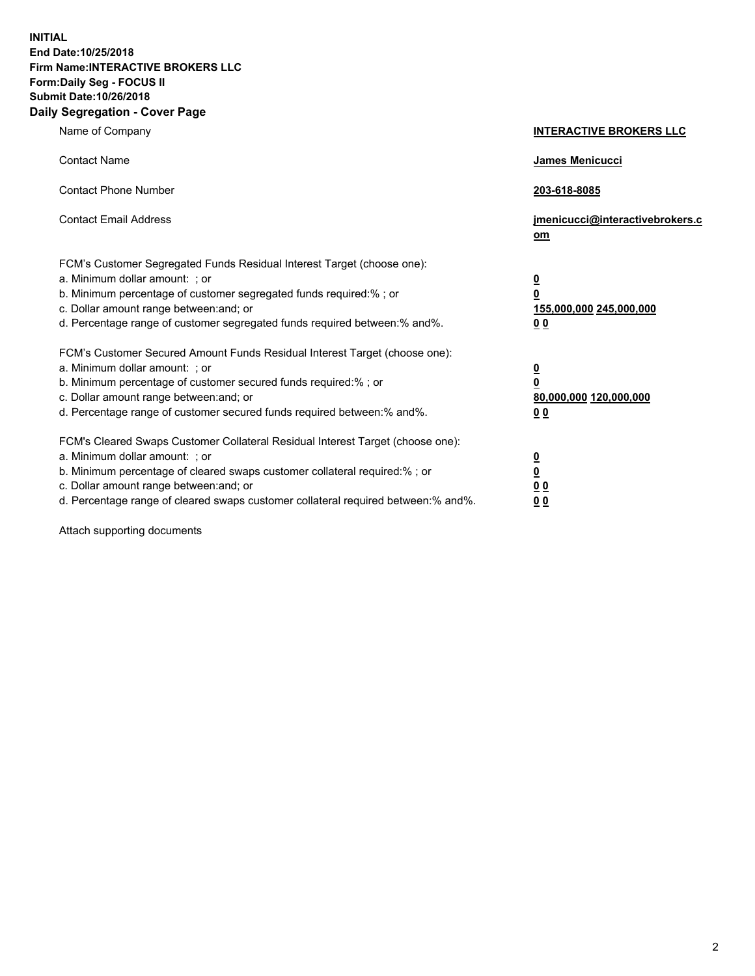**INITIAL End Date:10/25/2018 Firm Name:INTERACTIVE BROKERS LLC Form:Daily Seg - FOCUS II Submit Date:10/26/2018 Daily Segregation - Cover Page**

| Name of Company                                                                                                                                                                                                                                                                                                                | <b>INTERACTIVE BROKERS LLC</b>                                                                  |
|--------------------------------------------------------------------------------------------------------------------------------------------------------------------------------------------------------------------------------------------------------------------------------------------------------------------------------|-------------------------------------------------------------------------------------------------|
| <b>Contact Name</b>                                                                                                                                                                                                                                                                                                            | James Menicucci                                                                                 |
| <b>Contact Phone Number</b>                                                                                                                                                                                                                                                                                                    | 203-618-8085                                                                                    |
| <b>Contact Email Address</b>                                                                                                                                                                                                                                                                                                   | jmenicucci@interactivebrokers.c<br>om                                                           |
| FCM's Customer Segregated Funds Residual Interest Target (choose one):<br>a. Minimum dollar amount: ; or<br>b. Minimum percentage of customer segregated funds required:% ; or<br>c. Dollar amount range between: and; or<br>d. Percentage range of customer segregated funds required between:% and%.                         | $\overline{\mathbf{0}}$<br>$\overline{\mathbf{0}}$<br>155,000,000 245,000,000<br>0 <sub>0</sub> |
| FCM's Customer Secured Amount Funds Residual Interest Target (choose one):<br>a. Minimum dollar amount: ; or<br>b. Minimum percentage of customer secured funds required:%; or<br>c. Dollar amount range between: and; or<br>d. Percentage range of customer secured funds required between:% and%.                            | $\overline{\mathbf{0}}$<br>$\overline{\mathbf{0}}$<br>80,000,000 120,000,000<br>0 <sub>0</sub>  |
| FCM's Cleared Swaps Customer Collateral Residual Interest Target (choose one):<br>a. Minimum dollar amount: ; or<br>b. Minimum percentage of cleared swaps customer collateral required:% ; or<br>c. Dollar amount range between: and; or<br>d. Percentage range of cleared swaps customer collateral required between:% and%. | $\overline{\mathbf{0}}$<br>$\underline{\mathbf{0}}$<br>0 <sub>0</sub><br>0 <sub>0</sub>         |

Attach supporting documents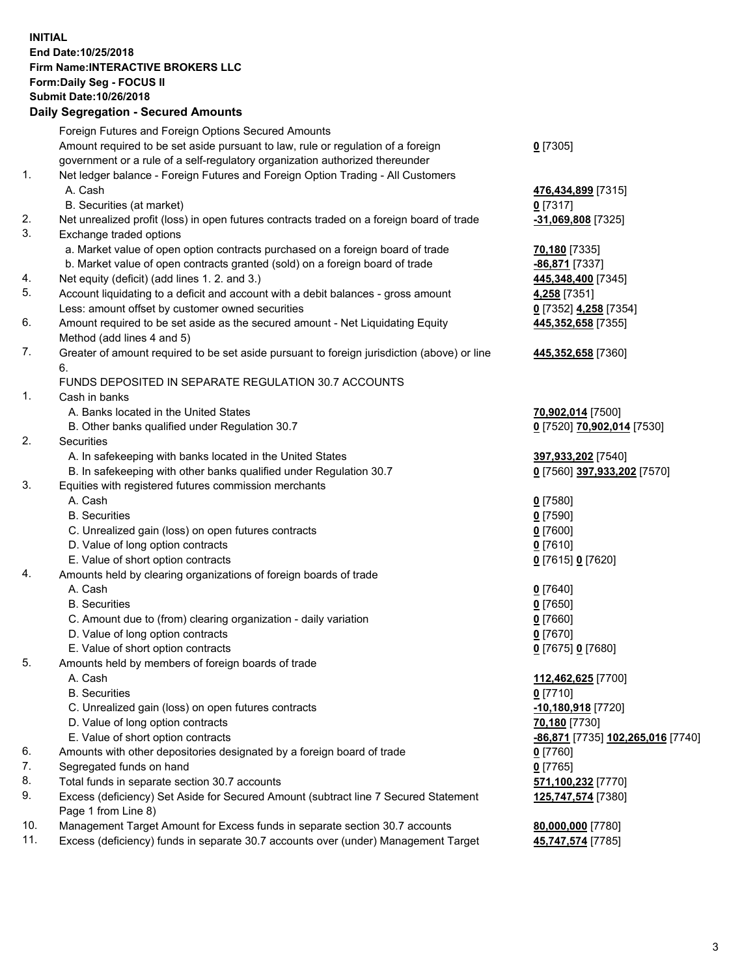## **INITIAL End Date:10/25/2018 Firm Name:INTERACTIVE BROKERS LLC Form:Daily Seg - FOCUS II Submit Date:10/26/2018 Daily Segregation - Secured Amounts**

|     | Dally Segregation - Secured Amounts                                                         |                                   |
|-----|---------------------------------------------------------------------------------------------|-----------------------------------|
|     | Foreign Futures and Foreign Options Secured Amounts                                         |                                   |
|     | Amount required to be set aside pursuant to law, rule or regulation of a foreign            | $0$ [7305]                        |
|     | government or a rule of a self-regulatory organization authorized thereunder                |                                   |
| 1.  | Net ledger balance - Foreign Futures and Foreign Option Trading - All Customers             |                                   |
|     | A. Cash                                                                                     | 476,434,899 [7315]                |
|     | B. Securities (at market)                                                                   | $0$ [7317]                        |
| 2.  | Net unrealized profit (loss) in open futures contracts traded on a foreign board of trade   | -31,069,808 [7325]                |
| 3.  | Exchange traded options                                                                     |                                   |
|     | a. Market value of open option contracts purchased on a foreign board of trade              | 70,180 [7335]                     |
|     | b. Market value of open contracts granted (sold) on a foreign board of trade                | -86,871 [7337]                    |
| 4.  | Net equity (deficit) (add lines 1. 2. and 3.)                                               | 445,348,400 [7345]                |
| 5.  | Account liquidating to a deficit and account with a debit balances - gross amount           | 4,258 [7351]                      |
|     | Less: amount offset by customer owned securities                                            | 0 [7352] 4,258 [7354]             |
| 6.  | Amount required to be set aside as the secured amount - Net Liquidating Equity              | 445,352,658 [7355]                |
|     | Method (add lines 4 and 5)                                                                  |                                   |
| 7.  | Greater of amount required to be set aside pursuant to foreign jurisdiction (above) or line | 445,352,658 [7360]                |
|     | 6.                                                                                          |                                   |
|     | FUNDS DEPOSITED IN SEPARATE REGULATION 30.7 ACCOUNTS                                        |                                   |
| 1.  | Cash in banks                                                                               |                                   |
|     | A. Banks located in the United States                                                       | 70,902,014 [7500]                 |
|     | B. Other banks qualified under Regulation 30.7                                              | 0 [7520] 70,902,014 [7530]        |
| 2.  | Securities                                                                                  |                                   |
|     | A. In safekeeping with banks located in the United States                                   | 397,933,202 [7540]                |
|     | B. In safekeeping with other banks qualified under Regulation 30.7                          | 0 [7560] 397,933,202 [7570]       |
| 3.  | Equities with registered futures commission merchants                                       |                                   |
|     | A. Cash                                                                                     | $0$ [7580]                        |
|     | <b>B.</b> Securities                                                                        | $0$ [7590]                        |
|     | C. Unrealized gain (loss) on open futures contracts                                         | $0$ [7600]                        |
|     | D. Value of long option contracts                                                           | $0$ [7610]                        |
|     | E. Value of short option contracts                                                          | 0 [7615] 0 [7620]                 |
| 4.  | Amounts held by clearing organizations of foreign boards of trade                           |                                   |
|     | A. Cash                                                                                     | $0$ [7640]                        |
|     | <b>B.</b> Securities                                                                        | $0$ [7650]                        |
|     | C. Amount due to (from) clearing organization - daily variation                             | $0$ [7660]                        |
|     | D. Value of long option contracts                                                           | $0$ [7670]                        |
|     | E. Value of short option contracts                                                          | 0 [7675] 0 [7680]                 |
| 5.  | Amounts held by members of foreign boards of trade                                          |                                   |
|     | A. Cash                                                                                     | 112,462,625 [7700]                |
|     | <b>B.</b> Securities                                                                        | $0$ [7710]                        |
|     | C. Unrealized gain (loss) on open futures contracts                                         | -10,180,918 [7720]                |
|     | D. Value of long option contracts                                                           | 70,180 [7730]                     |
|     | E. Value of short option contracts                                                          | -86,871 [7735] 102,265,016 [7740] |
| 6.  | Amounts with other depositories designated by a foreign board of trade                      | $0$ [7760]                        |
| 7.  | Segregated funds on hand                                                                    | $0$ [7765]                        |
| 8.  | Total funds in separate section 30.7 accounts                                               | 571,100,232 [7770]                |
| 9.  | Excess (deficiency) Set Aside for Secured Amount (subtract line 7 Secured Statement         | 125,747,574 [7380]                |
|     | Page 1 from Line 8)                                                                         |                                   |
| 10. | Management Target Amount for Excess funds in separate section 30.7 accounts                 | 80,000,000 [7780]                 |
| 11. | Excess (deficiency) funds in separate 30.7 accounts over (under) Management Target          | 45,747,574 [7785]                 |
|     |                                                                                             |                                   |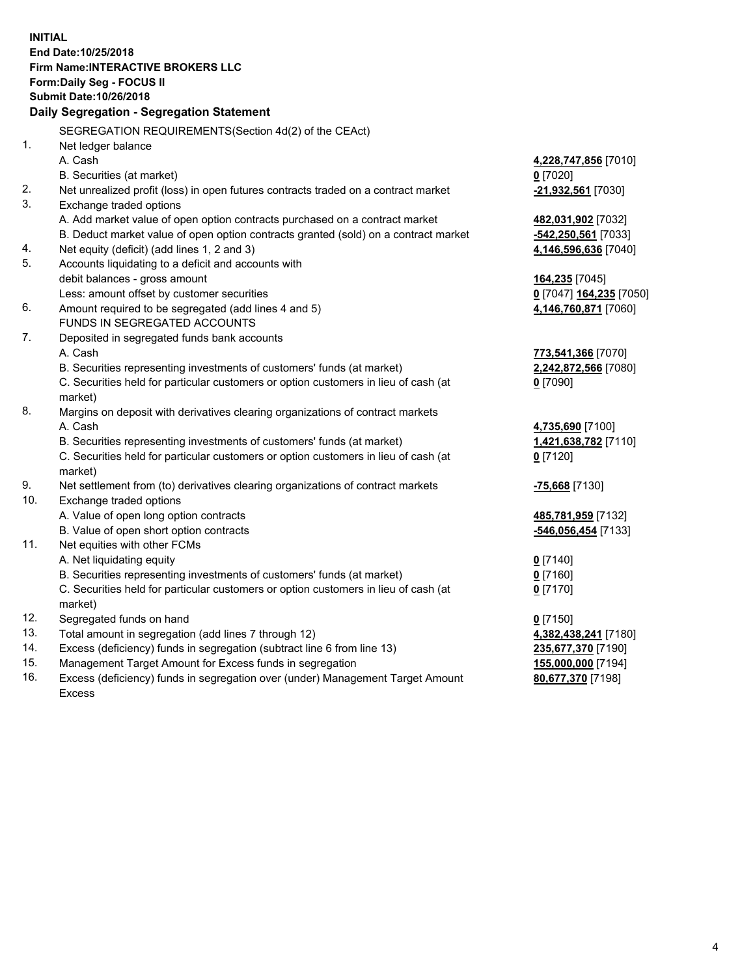**INITIAL End Date:10/25/2018 Firm Name:INTERACTIVE BROKERS LLC Form:Daily Seg - FOCUS II Submit Date:10/26/2018 Daily Segregation - Segregation Statement** SEGREGATION REQUIREMENTS(Section 4d(2) of the CEAct) 1. Net ledger balance A. Cash **4,228,747,856** [7010] B. Securities (at market) **0** [7020] 2. Net unrealized profit (loss) in open futures contracts traded on a contract market **-21,932,561** [7030] 3. Exchange traded options A. Add market value of open option contracts purchased on a contract market **482,031,902** [7032] B. Deduct market value of open option contracts granted (sold) on a contract market **-542,250,561** [7033] 4. Net equity (deficit) (add lines 1, 2 and 3) **4,146,596,636** [7040] 5. Accounts liquidating to a deficit and accounts with debit balances - gross amount **164,235** [7045] Less: amount offset by customer securities **0** [7047] **164,235** [7050] 6. Amount required to be segregated (add lines 4 and 5) **4,146,760,871** [7060] FUNDS IN SEGREGATED ACCOUNTS 7. Deposited in segregated funds bank accounts A. Cash **773,541,366** [7070] B. Securities representing investments of customers' funds (at market) **2,242,872,566** [7080] C. Securities held for particular customers or option customers in lieu of cash (at market) **0** [7090] 8. Margins on deposit with derivatives clearing organizations of contract markets A. Cash **4,735,690** [7100] B. Securities representing investments of customers' funds (at market) **1,421,638,782** [7110] C. Securities held for particular customers or option customers in lieu of cash (at market) **0** [7120] 9. Net settlement from (to) derivatives clearing organizations of contract markets **-75,668** [7130] 10. Exchange traded options A. Value of open long option contracts **485,781,959** [7132] B. Value of open short option contracts **-546,056,454** [7133] 11. Net equities with other FCMs A. Net liquidating equity **0** [7140] B. Securities representing investments of customers' funds (at market) **0** [7160] C. Securities held for particular customers or option customers in lieu of cash (at market) **0** [7170] 12. Segregated funds on hand **0** [7150] 13. Total amount in segregation (add lines 7 through 12) **4,382,438,241** [7180] 14. Excess (deficiency) funds in segregation (subtract line 6 from line 13) **235,677,370** [7190] 15. Management Target Amount for Excess funds in segregation **155,000,000** [7194] 16. Excess (deficiency) funds in segregation over (under) Management Target Amount **80,677,370** [7198]

Excess